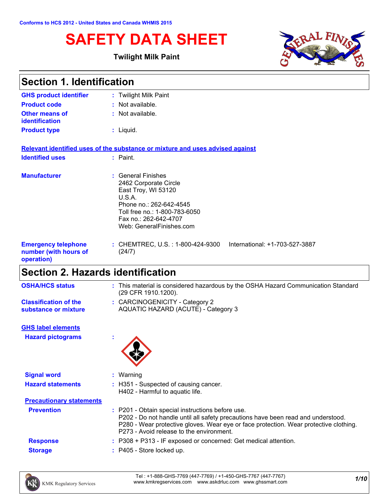# **SAFETY DATA SHEET**

#### **Twilight Milk Paint**



| <b>Section 1. Identification</b>                                  |                                                                                                                                                                                               |  |  |  |
|-------------------------------------------------------------------|-----------------------------------------------------------------------------------------------------------------------------------------------------------------------------------------------|--|--|--|
| <b>GHS product identifier</b>                                     | : Twilight Milk Paint                                                                                                                                                                         |  |  |  |
| <b>Product code</b>                                               | : Not available.                                                                                                                                                                              |  |  |  |
| <b>Other means of</b><br>identification                           | : Not available.                                                                                                                                                                              |  |  |  |
| <b>Product type</b>                                               | : Liquid.                                                                                                                                                                                     |  |  |  |
|                                                                   | Relevant identified uses of the substance or mixture and uses advised against                                                                                                                 |  |  |  |
| <b>Identified uses</b>                                            | $:$ Paint.                                                                                                                                                                                    |  |  |  |
| <b>Manufacturer</b>                                               | : General Finishes<br>2462 Corporate Circle<br>East Troy, WI 53120<br>U.S.A.<br>Phone no.: 262-642-4545<br>Toll free no.: 1-800-783-6050<br>Fax no.: 262-642-4707<br>Web: GeneralFinishes.com |  |  |  |
| <b>Emergency telephone</b><br>number (with hours of<br>operation) | International: +1-703-527-3887<br>: CHEMTREC, U.S. : 1-800-424-9300<br>(24/7)                                                                                                                 |  |  |  |

# **Section 2. Hazards identification**

| <b>OSHA/HCS status</b>                               | : This material is considered hazardous by the OSHA Hazard Communication Standard<br>(29 CFR 1910.1200). |
|------------------------------------------------------|----------------------------------------------------------------------------------------------------------|
| <b>Classification of the</b><br>substance or mixture | : CARCINOGENICITY - Category 2<br>AQUATIC HAZARD (ACUTE) - Category 3                                    |
| <b>GHS label elements</b>                            |                                                                                                          |

**Hazard pictograms :**



| <b>Signal word</b>              | Warning                                                                                                                                                                                                                                                                   |  |
|---------------------------------|---------------------------------------------------------------------------------------------------------------------------------------------------------------------------------------------------------------------------------------------------------------------------|--|
| <b>Hazard statements</b>        | : H351 - Suspected of causing cancer.<br>H402 - Harmful to aquatic life.                                                                                                                                                                                                  |  |
| <b>Precautionary statements</b> |                                                                                                                                                                                                                                                                           |  |
| <b>Prevention</b>               | : P201 - Obtain special instructions before use.<br>P202 - Do not handle until all safety precautions have been read and understood.<br>P280 - Wear protective gloves. Wear eye or face protection. Wear protective clothing.<br>P273 - Avoid release to the environment. |  |
| <b>Response</b>                 | $: P308 + P313$ - IF exposed or concerned: Get medical attention.                                                                                                                                                                                                         |  |
| <b>Storage</b>                  | $:$ P405 - Store locked up.                                                                                                                                                                                                                                               |  |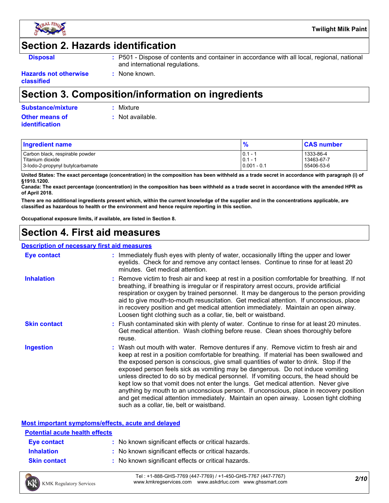

## **Section 2. Hazards identification**

- **Disposal 19501 :** P501 Dispose of contents and container in accordance with all local, regional, national and international regulations.
- **Hazards not otherwise classified**

## **Section 3. Composition/information on ingredients**

**:** None known.

|  | <b>Substance/mixture</b> |  |  |
|--|--------------------------|--|--|
|  |                          |  |  |
|  |                          |  |  |

**Substance/mixture :** Mixture

**Other means of identification**

**:** Not available.

| <b>Ingredient name</b>           |               | <b>CAS number</b> |
|----------------------------------|---------------|-------------------|
| Carbon black, respirable powder  | $ 0.1 - 1$    | 1333-86-4         |
| Titanium dioxide                 | $ 0.1 - 1$    | 13463-67-7        |
| 3-lodo-2-propynyl butylcarbamate | $0.001 - 0.1$ | 55406-53-6        |

**United States: The exact percentage (concentration) in the composition has been withheld as a trade secret in accordance with paragraph (i) of §1910.1200.**

**Canada: The exact percentage (concentration) in the composition has been withheld as a trade secret in accordance with the amended HPR as of April 2018.**

**There are no additional ingredients present which, within the current knowledge of the supplier and in the concentrations applicable, are classified as hazardous to health or the environment and hence require reporting in this section.**

**Occupational exposure limits, if available, are listed in Section 8.**

## **Section 4. First aid measures**

#### **Description of necessary first aid measures**

| <b>Eye contact</b>  | : Immediately flush eyes with plenty of water, occasionally lifting the upper and lower<br>eyelids. Check for and remove any contact lenses. Continue to rinse for at least 20<br>minutes. Get medical attention.                                                                                                                                                                                                                                                                                                                                                                                                                                                                                                                                                         |
|---------------------|---------------------------------------------------------------------------------------------------------------------------------------------------------------------------------------------------------------------------------------------------------------------------------------------------------------------------------------------------------------------------------------------------------------------------------------------------------------------------------------------------------------------------------------------------------------------------------------------------------------------------------------------------------------------------------------------------------------------------------------------------------------------------|
| <b>Inhalation</b>   | : Remove victim to fresh air and keep at rest in a position comfortable for breathing. If not<br>breathing, if breathing is irregular or if respiratory arrest occurs, provide artificial<br>respiration or oxygen by trained personnel. It may be dangerous to the person providing<br>aid to give mouth-to-mouth resuscitation. Get medical attention. If unconscious, place<br>in recovery position and get medical attention immediately. Maintain an open airway.<br>Loosen tight clothing such as a collar, tie, belt or waistband.                                                                                                                                                                                                                                 |
| <b>Skin contact</b> | : Flush contaminated skin with plenty of water. Continue to rinse for at least 20 minutes.<br>Get medical attention. Wash clothing before reuse. Clean shoes thoroughly before<br>reuse.                                                                                                                                                                                                                                                                                                                                                                                                                                                                                                                                                                                  |
| Ingestion           | : Wash out mouth with water. Remove dentures if any. Remove victim to fresh air and<br>keep at rest in a position comfortable for breathing. If material has been swallowed and<br>the exposed person is conscious, give small quantities of water to drink. Stop if the<br>exposed person feels sick as vomiting may be dangerous. Do not induce vomiting<br>unless directed to do so by medical personnel. If vomiting occurs, the head should be<br>kept low so that vomit does not enter the lungs. Get medical attention. Never give<br>anything by mouth to an unconscious person. If unconscious, place in recovery position<br>and get medical attention immediately. Maintain an open airway. Loosen tight clothing<br>such as a collar, tie, belt or waistband. |

#### **Most important symptoms/effects, acute and delayed**

| <b>Potential acute health effects</b> |                                                     |
|---------------------------------------|-----------------------------------------------------|
| Eye contact                           | : No known significant effects or critical hazards. |
| <b>Inhalation</b>                     | : No known significant effects or critical hazards. |
| <b>Skin contact</b>                   | : No known significant effects or critical hazards. |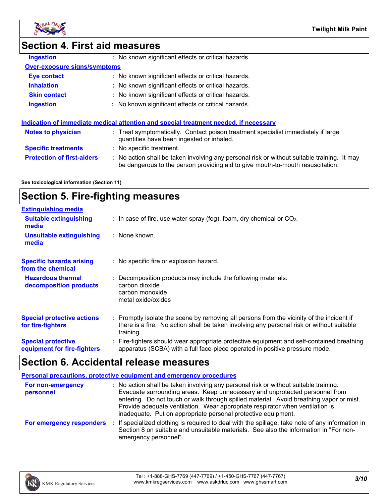

**Ingestion** 

### **Section 4. First aid measures**

| No known significant effects or critical hazards. |
|---------------------------------------------------|
|---------------------------------------------------|

#### **Over-exposure signs/symptoms**

| Eye contact         | : No known significant effects or critical hazards. |
|---------------------|-----------------------------------------------------|
| <b>Inhalation</b>   | : No known significant effects or critical hazards. |
| <b>Skin contact</b> | : No known significant effects or critical hazards. |
| <b>Ingestion</b>    | : No known significant effects or critical hazards. |

## **Indication of immediate medical attention and special treatment needed, if necessary**

| <b>Notes to physician</b>         | : Treat symptomatically. Contact poison treatment specialist immediately if large<br>quantities have been ingested or inhaled.                                              |
|-----------------------------------|-----------------------------------------------------------------------------------------------------------------------------------------------------------------------------|
| <b>Specific treatments</b>        | : No specific treatment.                                                                                                                                                    |
| <b>Protection of first-aiders</b> | No action shall be taken involving any personal risk or without suitable training. It may<br>be dangerous to the person providing aid to give mouth-to-mouth resuscitation. |

#### **See toxicological information (Section 11)**

## **Section 5. Fire-fighting measures**

| <b>Extinguishing media</b>                               |                                                                                                                                                                                                     |
|----------------------------------------------------------|-----------------------------------------------------------------------------------------------------------------------------------------------------------------------------------------------------|
| <b>Suitable extinguishing</b><br>media                   | $\therefore$ In case of fire, use water spray (fog), foam, dry chemical or CO <sub>2</sub> .                                                                                                        |
| <b>Unsuitable extinguishing</b><br>media                 | : None known.                                                                                                                                                                                       |
| <b>Specific hazards arising</b><br>from the chemical     | : No specific fire or explosion hazard.                                                                                                                                                             |
| <b>Hazardous thermal</b><br>decomposition products       | : Decomposition products may include the following materials:<br>carbon dioxide<br>carbon monoxide<br>metal oxide/oxides                                                                            |
| <b>Special protective actions</b><br>for fire-fighters   | : Promptly isolate the scene by removing all persons from the vicinity of the incident if<br>there is a fire. No action shall be taken involving any personal risk or without suitable<br>training. |
| <b>Special protective</b><br>equipment for fire-fighters | : Fire-fighters should wear appropriate protective equipment and self-contained breathing<br>apparatus (SCBA) with a full face-piece operated in positive pressure mode.                            |

### **Section 6. Accidental release measures**

|                                | <b>Personal precautions, protective equipment and emergency procedures</b>                                                                                                                                                                                                                                                                                                                                       |
|--------------------------------|------------------------------------------------------------------------------------------------------------------------------------------------------------------------------------------------------------------------------------------------------------------------------------------------------------------------------------------------------------------------------------------------------------------|
| For non-emergency<br>personnel | : No action shall be taken involving any personal risk or without suitable training.<br>Evacuate surrounding areas. Keep unnecessary and unprotected personnel from<br>entering. Do not touch or walk through spilled material. Avoid breathing vapor or mist.<br>Provide adequate ventilation. Wear appropriate respirator when ventilation is<br>inadequate. Put on appropriate personal protective equipment. |
| For emergency responders       | : If specialized clothing is required to deal with the spillage, take note of any information in<br>Section 8 on suitable and unsuitable materials. See also the information in "For non-<br>emergency personnel".                                                                                                                                                                                               |

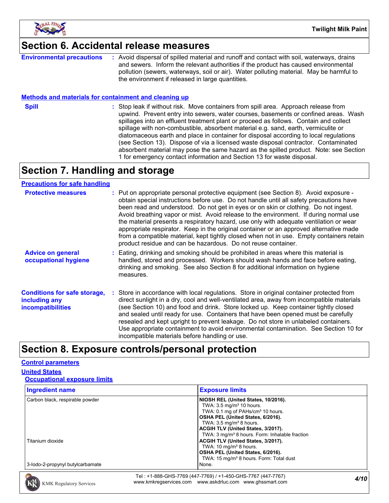

### **Section 6. Accidental release measures**

**Environmental precautions :** Avoid dispersal of spilled material and runoff and contact with soil, waterways, drains and sewers. Inform the relevant authorities if the product has caused environmental pollution (sewers, waterways, soil or air). Water polluting material. May be harmful to the environment if released in large quantities.

#### **Methods and materials for containment and cleaning up**

**Spill** Stop leak if without risk. Move containers from spill area. Approach release from spill upwind. Prevent entry into sewers, water courses, basements or confined areas. Wash spillages into an effluent treatment plant or proceed as follows. Contain and collect spillage with non-combustible, absorbent material e.g. sand, earth, vermiculite or diatomaceous earth and place in container for disposal according to local regulations (see Section 13). Dispose of via a licensed waste disposal contractor. Contaminated absorbent material may pose the same hazard as the spilled product. Note: see Section 1 for emergency contact information and Section 13 for waste disposal.

## **Section 7. Handling and storage**

#### **Precautions for safe handling**

| <b>Protective measures</b>                                                       | : Put on appropriate personal protective equipment (see Section 8). Avoid exposure -<br>obtain special instructions before use. Do not handle until all safety precautions have<br>been read and understood. Do not get in eyes or on skin or clothing. Do not ingest.<br>Avoid breathing vapor or mist. Avoid release to the environment. If during normal use<br>the material presents a respiratory hazard, use only with adequate ventilation or wear<br>appropriate respirator. Keep in the original container or an approved alternative made<br>from a compatible material, kept tightly closed when not in use. Empty containers retain<br>product residue and can be hazardous. Do not reuse container. |
|----------------------------------------------------------------------------------|------------------------------------------------------------------------------------------------------------------------------------------------------------------------------------------------------------------------------------------------------------------------------------------------------------------------------------------------------------------------------------------------------------------------------------------------------------------------------------------------------------------------------------------------------------------------------------------------------------------------------------------------------------------------------------------------------------------|
| <b>Advice on general</b><br>occupational hygiene                                 | Eating, drinking and smoking should be prohibited in areas where this material is<br>handled, stored and processed. Workers should wash hands and face before eating,<br>drinking and smoking. See also Section 8 for additional information on hygiene<br>measures.                                                                                                                                                                                                                                                                                                                                                                                                                                             |
| <b>Conditions for safe storage,</b><br>including any<br><b>incompatibilities</b> | Store in accordance with local regulations. Store in original container protected from<br>direct sunlight in a dry, cool and well-ventilated area, away from incompatible materials<br>(see Section 10) and food and drink. Store locked up. Keep container tightly closed<br>and sealed until ready for use. Containers that have been opened must be carefully<br>resealed and kept upright to prevent leakage. Do not store in unlabeled containers.<br>Use appropriate containment to avoid environmental contamination. See Section 10 for<br>incompatible materials before handling or use.                                                                                                                |

### **Section 8. Exposure controls/personal protection**

#### **Control parameters**

#### **United States**

#### **Occupational exposure limits**

| <b>Ingredient name</b>           | <b>Exposure limits</b>                                                                                                                                                                                                                                                                                     |
|----------------------------------|------------------------------------------------------------------------------------------------------------------------------------------------------------------------------------------------------------------------------------------------------------------------------------------------------------|
| Carbon black, respirable powder  | NIOSH REL (United States, 10/2016).<br>TWA: $3.5 \text{ mg/m}^3$ 10 hours.<br>TWA: 0.1 mg of PAHs/cm <sup>3</sup> 10 hours.<br>OSHA PEL (United States, 6/2016).<br>TWA: $3.5 \text{ mg/m}^3$ 8 hours.<br>ACGIH TLV (United States, 3/2017).<br>TWA: 3 mg/m <sup>3</sup> 8 hours. Form: Inhalable fraction |
| Titanium dioxide                 | ACGIH TLV (United States, 3/2017).<br>TWA: $10 \text{ mg/m}^3$ 8 hours.<br>OSHA PEL (United States, 6/2016).<br>TWA: 15 mg/m <sup>3</sup> 8 hours. Form: Total dust                                                                                                                                        |
| 3-lodo-2-propynyl butylcarbamate | None.                                                                                                                                                                                                                                                                                                      |

*4/10* Tel : +1-888-GHS-7769 (447-7769) / +1-450-GHS-7767 (447-7767) www.kmkregservices.com www.askdrluc.com www.ghssmart.com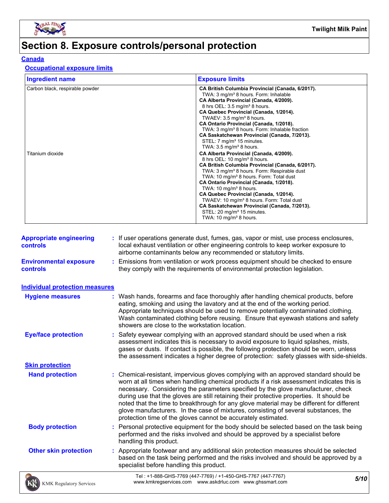

# **Section 8. Exposure controls/personal protection**

#### **Canada**

#### **Occupational exposure limits**

| <b>Ingredient name</b>                              | <b>Exposure limits</b>                                                                                                                                                                                                                                                                                                                                                                                                                                                                                                                                                                                                                                                                                                                                                                                                                                                                                                                                                                                                                                                                                   |
|-----------------------------------------------------|----------------------------------------------------------------------------------------------------------------------------------------------------------------------------------------------------------------------------------------------------------------------------------------------------------------------------------------------------------------------------------------------------------------------------------------------------------------------------------------------------------------------------------------------------------------------------------------------------------------------------------------------------------------------------------------------------------------------------------------------------------------------------------------------------------------------------------------------------------------------------------------------------------------------------------------------------------------------------------------------------------------------------------------------------------------------------------------------------------|
| Carbon black, respirable powder<br>Titanium dioxide | CA British Columbia Provincial (Canada, 6/2017).<br>TWA: 3 mg/m <sup>3</sup> 8 hours. Form: Inhalable<br>CA Alberta Provincial (Canada, 4/2009).<br>8 hrs OEL: 3.5 mg/m <sup>3</sup> 8 hours.<br>CA Quebec Provincial (Canada, 1/2014).<br>TWAEV: $3.5 \text{ mg/m}^3$ 8 hours.<br>CA Ontario Provincial (Canada, 1/2018).<br>TWA: 3 mg/m <sup>3</sup> 8 hours. Form: Inhalable fraction<br>CA Saskatchewan Provincial (Canada, 7/2013).<br>STEL: 7 mg/m <sup>3</sup> 15 minutes.<br>TWA: $3.5 \text{ mg/m}^3$ 8 hours.<br>CA Alberta Provincial (Canada, 4/2009).<br>8 hrs OEL: 10 mg/m <sup>3</sup> 8 hours.<br>CA British Columbia Provincial (Canada, 6/2017).<br>TWA: 3 mg/m <sup>3</sup> 8 hours. Form: Respirable dust<br>TWA: 10 mg/m <sup>3</sup> 8 hours. Form: Total dust<br>CA Ontario Provincial (Canada, 1/2018).<br>TWA: 10 mg/m <sup>3</sup> 8 hours.<br>CA Quebec Provincial (Canada, 1/2014).<br>TWAEV: 10 mg/m <sup>3</sup> 8 hours. Form: Total dust<br>CA Saskatchewan Provincial (Canada, 7/2013).<br>STEL: 20 mg/m <sup>3</sup> 15 minutes.<br>TWA: 10 mg/m <sup>3</sup> 8 hours. |

| <b>Appropriate engineering</b><br><b>controls</b> | : If user operations generate dust, fumes, gas, vapor or mist, use process enclosures,<br>local exhaust ventilation or other engineering controls to keep worker exposure to<br>airborne contaminants below any recommended or statutory limits.                                                                                                                                                                                                                                                                                                                                                                       |
|---------------------------------------------------|------------------------------------------------------------------------------------------------------------------------------------------------------------------------------------------------------------------------------------------------------------------------------------------------------------------------------------------------------------------------------------------------------------------------------------------------------------------------------------------------------------------------------------------------------------------------------------------------------------------------|
| <b>Environmental exposure</b><br><b>controls</b>  | : Emissions from ventilation or work process equipment should be checked to ensure<br>they comply with the requirements of environmental protection legislation.                                                                                                                                                                                                                                                                                                                                                                                                                                                       |
| <b>Individual protection measures</b>             |                                                                                                                                                                                                                                                                                                                                                                                                                                                                                                                                                                                                                        |
| <b>Hygiene measures</b>                           | : Wash hands, forearms and face thoroughly after handling chemical products, before<br>eating, smoking and using the lavatory and at the end of the working period.<br>Appropriate techniques should be used to remove potentially contaminated clothing.<br>Wash contaminated clothing before reusing. Ensure that eyewash stations and safety<br>showers are close to the workstation location.                                                                                                                                                                                                                      |
| <b>Eye/face protection</b>                        | : Safety eyewear complying with an approved standard should be used when a risk<br>assessment indicates this is necessary to avoid exposure to liquid splashes, mists,<br>gases or dusts. If contact is possible, the following protection should be worn, unless<br>the assessment indicates a higher degree of protection: safety glasses with side-shields.                                                                                                                                                                                                                                                         |
| <b>Skin protection</b>                            |                                                                                                                                                                                                                                                                                                                                                                                                                                                                                                                                                                                                                        |
| <b>Hand protection</b>                            | : Chemical-resistant, impervious gloves complying with an approved standard should be<br>worn at all times when handling chemical products if a risk assessment indicates this is<br>necessary. Considering the parameters specified by the glove manufacturer, check<br>during use that the gloves are still retaining their protective properties. It should be<br>noted that the time to breakthrough for any glove material may be different for different<br>glove manufacturers. In the case of mixtures, consisting of several substances, the<br>protection time of the gloves cannot be accurately estimated. |
| <b>Body protection</b>                            | : Personal protective equipment for the body should be selected based on the task being<br>performed and the risks involved and should be approved by a specialist before<br>handling this product.                                                                                                                                                                                                                                                                                                                                                                                                                    |
| <b>Other skin protection</b>                      | : Appropriate footwear and any additional skin protection measures should be selected<br>based on the task being performed and the risks involved and should be approved by a<br>specialist before handling this product.                                                                                                                                                                                                                                                                                                                                                                                              |
| KMK Regulatory Services                           | Tel: +1-888-GHS-7769 (447-7769) / +1-450-GHS-7767 (447-7767)<br>5/10<br>www.kmkregservices.com www.askdrluc.com www.ghssmart.com                                                                                                                                                                                                                                                                                                                                                                                                                                                                                       |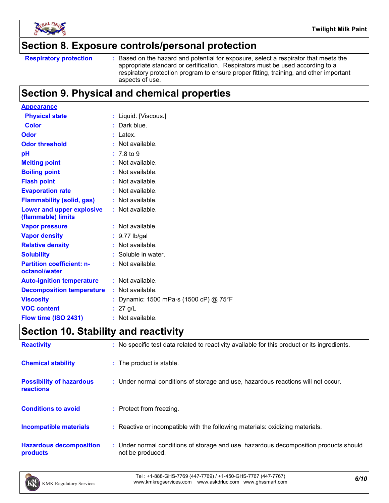

### **Section 8. Exposure controls/personal protection**

```
Respiratory protection :
```
Based on the hazard and potential for exposure, select a respirator that meets the appropriate standard or certification. Respirators must be used according to a respiratory protection program to ensure proper fitting, training, and other important aspects of use.

## **Section 9. Physical and chemical properties**

| <b>Appearance</b>                                 |                                      |
|---------------------------------------------------|--------------------------------------|
| <b>Physical state</b>                             | : Liquid. [Viscous.]                 |
| <b>Color</b>                                      | : Dark blue.                         |
| Odor                                              | : Latex.                             |
| <b>Odor threshold</b>                             | : Not available.                     |
| pH                                                | $: 7.8 \text{ to } 9$                |
| <b>Melting point</b>                              | Not available.                       |
| <b>Boiling point</b>                              | $:$ Not available.                   |
| <b>Flash point</b>                                | : Not available.                     |
| <b>Evaporation rate</b>                           | : Not available.                     |
| <b>Flammability (solid, gas)</b>                  | : Not available.                     |
| Lower and upper explosive<br>(flammable) limits   | $:$ Not available.                   |
| <b>Vapor pressure</b>                             | : Not available.                     |
| <b>Vapor density</b>                              | $: 9.77$ lb/gal                      |
| <b>Relative density</b>                           | Not available.                       |
| <b>Solubility</b>                                 | : Soluble in water.                  |
| <b>Partition coefficient: n-</b><br>octanol/water | : Not available.                     |
| <b>Auto-ignition temperature</b>                  | $:$ Not available.                   |
| <b>Decomposition temperature</b>                  | : Not available.                     |
| <b>Viscosity</b>                                  | Dynamic: 1500 mPa·s (1500 cP) @ 75°F |
| <b>VOC content</b>                                | : 27 g/L                             |
| Flow time (ISO 2431)                              | : Not available.                     |

## **Section 10. Stability and reactivity**

| <b>Reactivity</b>                            | : No specific test data related to reactivity available for this product or its ingredients.              |
|----------------------------------------------|-----------------------------------------------------------------------------------------------------------|
| <b>Chemical stability</b>                    | : The product is stable.                                                                                  |
| <b>Possibility of hazardous</b><br>reactions | : Under normal conditions of storage and use, hazardous reactions will not occur.                         |
| <b>Conditions to avoid</b>                   | : Protect from freezing.                                                                                  |
| <b>Incompatible materials</b>                | : Reactive or incompatible with the following materials: oxidizing materials.                             |
| <b>Hazardous decomposition</b><br>products   | : Under normal conditions of storage and use, hazardous decomposition products should<br>not be produced. |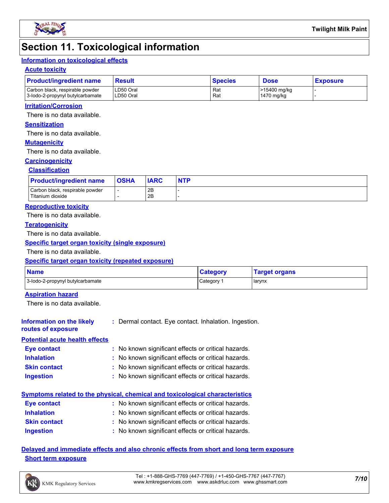

### **Section 11. Toxicological information**

#### **Information on toxicological effects**

#### **Acute toxicity**

| <b>Product/ingredient name</b>                                      | Result                 | <b>Species</b> | <b>Dose</b>                | <b>Exposure</b> |  |
|---------------------------------------------------------------------|------------------------|----------------|----------------------------|-----------------|--|
| Carbon black, respirable powder<br>3-lodo-2-propynyl butylcarbamate | LD50 Oral<br>LD50 Oral | Rat<br>Rat     | >15400 mg/kg<br>1470 mg/kg |                 |  |

#### **Irritation/Corrosion**

There is no data available.

#### **Sensitization**

There is no data available.

#### **Mutagenicity**

There is no data available.

#### **Carcinogenicity**

#### **Classification**

| <b>Product/ingredient name</b>                      | <b>OSHA</b> | <b>IARC</b> | <b>NTP</b> |
|-----------------------------------------------------|-------------|-------------|------------|
| Carbon black, respirable powder<br>Titanium dioxide |             | 2B<br>2B    |            |

#### **Reproductive toxicity**

There is no data available.

#### **Teratogenicity**

There is no data available.

#### **Specific target organ toxicity (single exposure)**

There is no data available.

#### **Specific target organ toxicity (repeated exposure)**

| <b>Name</b>                      | <b>Category</b> | <b>Target organs</b> |
|----------------------------------|-----------------|----------------------|
| 3-lodo-2-propynyl butylcarbamate | Category        | larynx               |

#### **Aspiration hazard**

There is no data available.

#### **Information on the likely routes of exposure :** Dermal contact. Eye contact. Inhalation. Ingestion.

#### **Potential acute health effects**

| <b>Eye contact</b>  | : No known significant effects or critical hazards. |
|---------------------|-----------------------------------------------------|
| <b>Inhalation</b>   | : No known significant effects or critical hazards. |
| <b>Skin contact</b> | : No known significant effects or critical hazards. |
| <b>Ingestion</b>    | : No known significant effects or critical hazards. |

### **Symptoms related to the physical, chemical and toxicological characteristics**

| Eye contact         | : No known significant effects or critical hazards. |
|---------------------|-----------------------------------------------------|
| <b>Inhalation</b>   | : No known significant effects or critical hazards. |
| <b>Skin contact</b> | : No known significant effects or critical hazards. |
| Ingestion           | : No known significant effects or critical hazards. |

#### **Delayed and immediate effects and also chronic effects from short and long term exposure Short term exposure**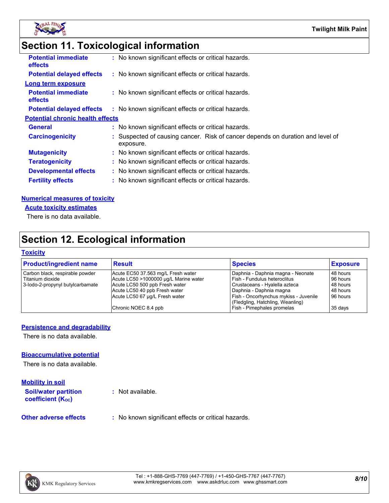

# **Section 11. Toxicological information**

| <b>Potential immediate</b><br><b>effects</b> | : No known significant effects or critical hazards.                                         |
|----------------------------------------------|---------------------------------------------------------------------------------------------|
| <b>Potential delayed effects</b>             | : No known significant effects or critical hazards.                                         |
| <b>Long term exposure</b>                    |                                                                                             |
| <b>Potential immediate</b><br><b>effects</b> | : No known significant effects or critical hazards.                                         |
| <b>Potential delayed effects</b>             | : No known significant effects or critical hazards.                                         |
| <b>Potential chronic health effects</b>      |                                                                                             |
| <b>General</b>                               | : No known significant effects or critical hazards.                                         |
| <b>Carcinogenicity</b>                       | : Suspected of causing cancer. Risk of cancer depends on duration and level of<br>exposure. |
| <b>Mutagenicity</b>                          | : No known significant effects or critical hazards.                                         |
| <b>Teratogenicity</b>                        | : No known significant effects or critical hazards.                                         |
| <b>Developmental effects</b>                 | : No known significant effects or critical hazards.                                         |
| <b>Fertility effects</b>                     | : No known significant effects or critical hazards.                                         |
|                                              |                                                                                             |

#### **Numerical measures of toxicity**

**Acute toxicity estimates**

There is no data available.

## **Section 12. Ecological information**

#### **Toxicity**

| <b>Product/ingredient name</b>   | Result                                | <b>Species</b>                        | <b>Exposure</b> |
|----------------------------------|---------------------------------------|---------------------------------------|-----------------|
| Carbon black, respirable powder  | Acute EC50 37.563 mg/L Fresh water    | Daphnia - Daphnia magna - Neonate     | 48 hours        |
| l Titanium dioxide               | Acute LC50 >1000000 µg/L Marine water | l Fish - Fundulus heteroclitus        | 96 hours        |
| 3-lodo-2-propynyl butylcarbamate | Acute LC50 500 ppb Fresh water        | Crustaceans - Hyalella azteca         | 48 hours        |
|                                  | Acute LC50 40 ppb Fresh water         | l Daphnia - Daphnia magna             | 48 hours        |
|                                  | Acute LC50 67 µg/L Fresh water        | Fish - Oncorhynchus mykiss - Juvenile | 96 hours        |
|                                  |                                       | (Fledgling, Hatchling, Weanling)      |                 |
|                                  | Chronic NOEC 8.4 ppb                  | Fish - Pimephales promelas            | 35 days         |
|                                  |                                       |                                       |                 |

#### **Persistence and degradability**

There is no data available.

#### **Bioaccumulative potential**

There is no data available.

| <b>Mobility in soil</b>                                 |                                                     |
|---------------------------------------------------------|-----------------------------------------------------|
| <b>Soil/water partition</b><br><b>coefficient (Koc)</b> | : Not available.                                    |
| <b>Other adverse effects</b>                            | : No known significant effects or critical hazards. |

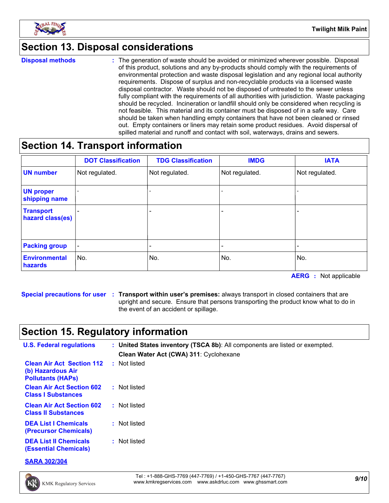

## **Section 13. Disposal considerations**

**Disposal methods :**

The generation of waste should be avoided or minimized wherever possible. Disposal of this product, solutions and any by-products should comply with the requirements of environmental protection and waste disposal legislation and any regional local authority requirements. Dispose of surplus and non-recyclable products via a licensed waste disposal contractor. Waste should not be disposed of untreated to the sewer unless fully compliant with the requirements of all authorities with jurisdiction. Waste packaging should be recycled. Incineration or landfill should only be considered when recycling is not feasible. This material and its container must be disposed of in a safe way. Care should be taken when handling empty containers that have not been cleaned or rinsed out. Empty containers or liners may retain some product residues. Avoid dispersal of spilled material and runoff and contact with soil, waterways, drains and sewers.

## **Section 14. Transport information**

|                                      | <b>DOT Classification</b> | <b>TDG Classification</b> | <b>IMDG</b>              | <b>IATA</b>    |
|--------------------------------------|---------------------------|---------------------------|--------------------------|----------------|
| <b>UN number</b>                     | Not regulated.            | Not regulated.            | Not regulated.           | Not regulated. |
| <b>UN proper</b><br>shipping name    |                           |                           |                          |                |
| <b>Transport</b><br>hazard class(es) |                           | ۰                         |                          |                |
| <b>Packing group</b>                 | $\overline{\phantom{a}}$  | $\overline{\phantom{0}}$  | $\overline{\phantom{a}}$ |                |
| <b>Environmental</b><br>hazards      | No.                       | No.                       | No.                      | No.            |

**AERG :** Not applicable

**Special precautions for user Transport within user's premises:** always transport in closed containers that are **:** upright and secure. Ensure that persons transporting the product know what to do in the event of an accident or spillage.

## **Section 15. Regulatory information**

| <b>U.S. Federal regulations</b>                                                   | : United States inventory (TSCA 8b): All components are listed or exempted.<br>Clean Water Act (CWA) 311: Cyclohexane |
|-----------------------------------------------------------------------------------|-----------------------------------------------------------------------------------------------------------------------|
| <b>Clean Air Act Section 112</b><br>(b) Hazardous Air<br><b>Pollutants (HAPS)</b> | : Not listed                                                                                                          |
| <b>Clean Air Act Section 602</b><br><b>Class I Substances</b>                     | : Not listed                                                                                                          |
| <b>Clean Air Act Section 602</b><br><b>Class II Substances</b>                    | : Not listed                                                                                                          |
| <b>DEA List I Chemicals</b><br>(Precursor Chemicals)                              | : Not listed                                                                                                          |
| <b>DEA List II Chemicals</b><br><b>(Essential Chemicals)</b>                      | : Not listed                                                                                                          |

**SARA 302/304**